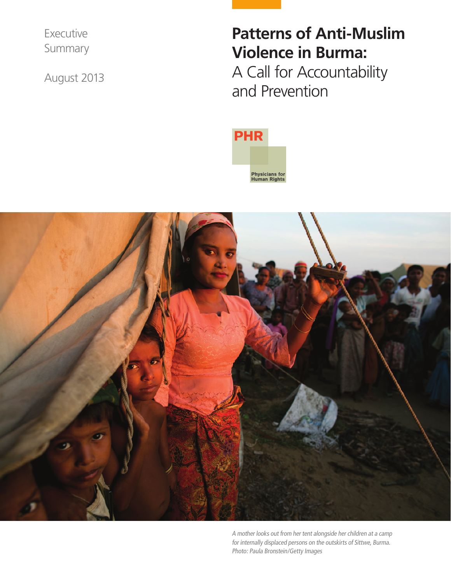Executive Summary

August 2013

# **Patterns of Anti-Muslim Violence in Burma:**

A Call for Accountability and Prevention





A mother looks out from her tent alongside her children at a camp for internally displaced persons on the outskirts of Sittwe, Burma. Photo: Paula Bronstein/Getty Images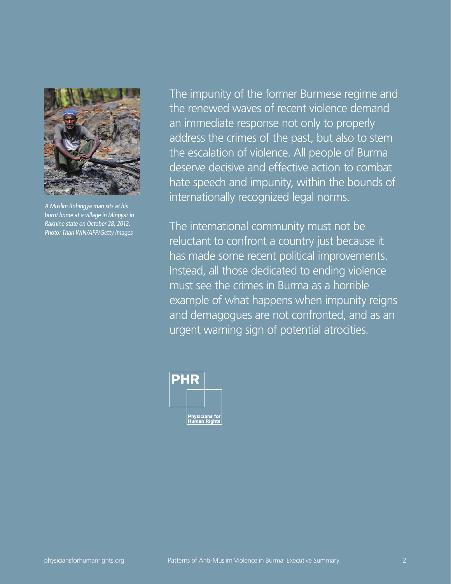

A Muslim Rohingya man sits at his burnt home at a village in Minpyar in Rakhine state on October 28, 2012. Photo: Than WIN/AFP/Getty Images

The impunity of the former Burmese regime and the renewed waves of recent violence demand an immediate response not only to properly address the crimes of the past, but also to stem the escalation of violence. All people of Burma deserve decisive and effective action to combat hate speech and impunity, within the bounds of internationally recognized legal norms.

The international community must not be reluctant to confront a country just because it has made some recent political improvements. Instead, all those dedicated to ending violence must see the crimes in Burma as a horrible example of what happens when impunity reigns and demagogues are not confronted, and as an urgent warning sign of potential atrocities.

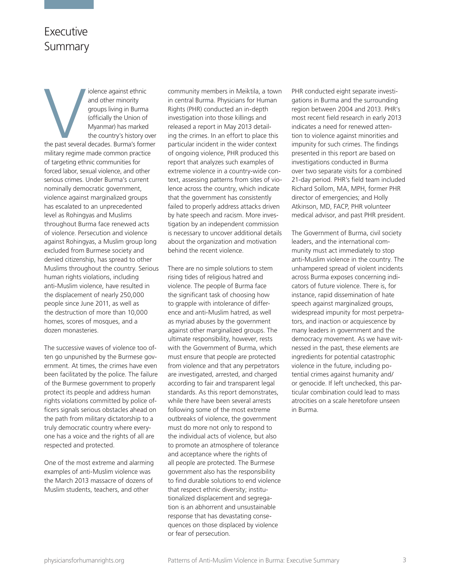# Executive Summary

the past several iolence against ethnic and other minority groups living in Burma (officially the Union of Myanmar) has marked the country's history over the past several decades. Burma's former military regime made common practice of targeting ethnic communities for forced labor, sexual violence, and other serious crimes. Under Burma's current nominally democratic government, violence against marginalized groups has escalated to an unprecedented level as Rohingyas and Muslims throughout Burma face renewed acts of violence. Persecution and violence against Rohingyas, a Muslim group long excluded from Burmese society and denied citizenship, has spread to other Muslims throughout the country. Serious human rights violations, including anti-Muslim violence, have resulted in the displacement of nearly 250,000 people since June 2011, as well as the destruction of more than 10,000 homes, scores of mosques, and a dozen monasteries.

The successive waves of violence too often go unpunished by the Burmese government. At times, the crimes have even been facilitated by the police. The failure of the Burmese government to properly protect its people and address human rights violations committed by police officers signals serious obstacles ahead on the path from military dictatorship to a truly democratic country where everyone has a voice and the rights of all are respected and protected.

One of the most extreme and alarming examples of anti-Muslim violence was the March 2013 massacre of dozens of Muslim students, teachers, and other

community members in Meiktila, a town in central Burma. Physicians for Human Rights (PHR) conducted an in-depth investigation into those killings and released a report in May 2013 detailing the crimes. In an effort to place this particular incident in the wider context of ongoing violence, PHR produced this report that analyzes such examples of extreme violence in a country-wide context, assessing patterns from sites of violence across the country, which indicate that the government has consistently failed to properly address attacks driven by hate speech and racism. More investigation by an independent commission is necessary to uncover additional details about the organization and motivation behind the recent violence.

There are no simple solutions to stem rising tides of religious hatred and violence. The people of Burma face the significant task of choosing how to grapple with intolerance of difference and anti-Muslim hatred, as well as myriad abuses by the government against other marginalized groups. The ultimate responsibility, however, rests with the Government of Burma, which must ensure that people are protected from violence and that any perpetrators are investigated, arrested, and charged according to fair and transparent legal standards. As this report demonstrates, while there have been several arrests following some of the most extreme outbreaks of violence, the government must do more not only to respond to the individual acts of violence, but also to promote an atmosphere of tolerance and acceptance where the rights of all people are protected. The Burmese government also has the responsibility to find durable solutions to end violence that respect ethnic diversity; institutionalized displacement and segregation is an abhorrent and unsustainable response that has devastating consequences on those displaced by violence or fear of persecution.

PHR conducted eight separate investigations in Burma and the surrounding region between 2004 and 2013. PHR's most recent field research in early 2013 indicates a need for renewed attention to violence against minorities and impunity for such crimes. The findings presented in this report are based on investigations conducted in Burma over two separate visits for a combined 21-day period. PHR's field team included Richard Sollom, MA, MPH, former PHR director of emergencies; and Holly Atkinson, MD, FACP, PHR volunteer medical advisor, and past PHR president.

The Government of Burma, civil society leaders, and the international community must act immediately to stop anti-Muslim violence in the country. The unhampered spread of violent incidents across Burma exposes concerning indicators of future violence. There is, for instance, rapid dissemination of hate speech against marginalized groups, widespread impunity for most perpetrators, and inaction or acquiescence by many leaders in government and the democracy movement. As we have witnessed in the past, these elements are ingredients for potential catastrophic violence in the future, including potential crimes against humanity and/ or genocide. If left unchecked, this particular combination could lead to mass atrocities on a scale heretofore unseen in Burma.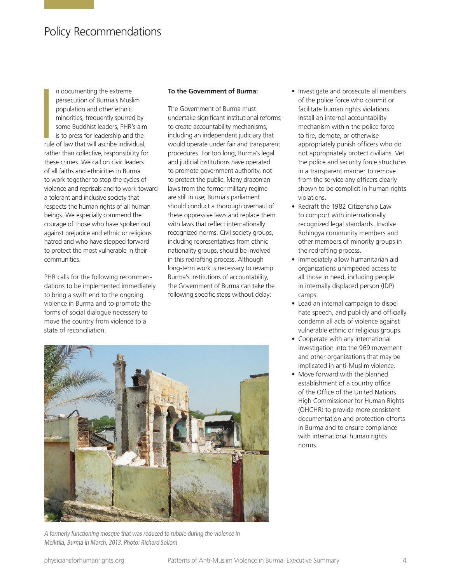# Policy Recommendations

I<br>I<br>I<br>I<br>I<br>I n documenting the extreme persecution of Burma's Muslim population and other ethnic minorities, frequently spurred by some Buddhist leaders, PHR's aim is to press for leadership and the rule of law that will ascribe individual, rather than collective, responsibility for these crimes. We call on civic leaders of all faiths and ethnicities in Burma to work together to stop the cycles of violence and reprisals and to work toward a tolerant and inclusive society that respects the human rights of all human beings. We especially commend the courage of those who have spoken out against prejudice and ethnic or religious hatred and who have stepped forward to protect the most vulnerable in their communities.

PHR calls for the following recommendations to be implemented immediately to bring a swift end to the ongoing violence in Burma and to promote the forms of social dialogue necessary to move the country from violence to a state of reconciliation.

#### **To the Government of Burma:**

The Government of Burma must undertake significant institutional reforms to create accountability mechanisms, including an independent judiciary that would operate under fair and transparent procedures. For too long, Burma's legal and judicial institutions have operated to promote government authority, not to protect the public. Many draconian laws from the former military regime are still in use; Burma's parliament should conduct a thorough overhaul of these oppressive laws and replace them with laws that reflect internationally recognized norms. Civil society groups, including representatives from ethnic nationality groups, should be involved in this redrafting process. Although long-term work is necessary to revamp Burma's institutions of accountability, the Government of Burma can take the following specific steps without delay:



A formerly functioning mosque that was reduced to rubble during the violence in Meiktila, Burma in March, 2013. Photo: Richard Sollom

- Investigate and prosecute all members of the police force who commit or facilitate human rights violations. Install an internal accountability mechanism within the police force to fire, demote, or otherwise appropriately punish officers who do not appropriately protect civilians. Vet the police and security force structures in a transparent manner to remove from the service any officers clearly shown to be complicit in human rights violations.
- Redraft the 1982 Citizenship Law to comport with internationally recognized legal standards. Involve Rohingya community members and other members of minority groups in the redrafting process.
- Immediately allow humanitarian aid organizations unimpeded access to all those in need, including people in internally displaced person (IDP) camps.
- Lead an internal campaign to dispel hate speech, and publicly and officially condemn all acts of violence against vulnerable ethnic or religious groups.
- Cooperate with any international investigation into the 969 movement and other organizations that may be implicated in anti-Muslim violence.
- Move forward with the planned establishment of a country office of the Office of the United Nations High Commissioner for Human Rights (OHCHR) to provide more consistent documentation and protection efforts in Burma and to ensure compliance with international human rights norms.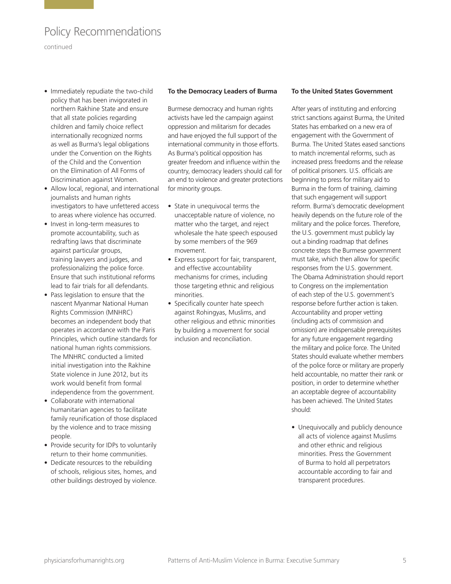# Policy Recommendations

continued

- Immediately repudiate the two-child policy that has been invigorated in northern Rakhine State and ensure that all state policies regarding children and family choice reflect internationally recognized norms as well as Burma's legal obligations under the Convention on the Rights of the Child and the Convention on the Elimination of All Forms of Discrimination against Women.
- Allow local, regional, and international journalists and human rights investigators to have unfettered access to areas where violence has occurred.
- Invest in long-term measures to promote accountability, such as redrafting laws that discriminate against particular groups, training lawyers and judges, and professionalizing the police force. Ensure that such institutional reforms lead to fair trials for all defendants.
- Pass legislation to ensure that the nascent Myanmar National Human Rights Commission (MNHRC) becomes an independent body that operates in accordance with the Paris Principles, which outline standards for national human rights commissions. The MNHRC conducted a limited initial investigation into the Rakhine State violence in June 2012, but its work would benefit from formal independence from the government.
- Collaborate with international humanitarian agencies to facilitate family reunification of those displaced by the violence and to trace missing people.
- Provide security for IDPs to voluntarily return to their home communities.
- Dedicate resources to the rebuilding of schools, religious sites, homes, and other buildings destroyed by violence.

#### **To the Democracy Leaders of Burma**

Burmese democracy and human rights activists have led the campaign against oppression and militarism for decades and have enjoyed the full support of the international community in those efforts. As Burma's political opposition has greater freedom and influence within the country, democracy leaders should call for an end to violence and greater protections for minority groups.

- State in unequivocal terms the unacceptable nature of violence, no matter who the target, and reject wholesale the hate speech espoused by some members of the 969 movement.
- Express support for fair, transparent, and effective accountability mechanisms for crimes, including those targeting ethnic and religious minorities.
- Specifically counter hate speech against Rohingyas, Muslims, and other religious and ethnic minorities by building a movement for social inclusion and reconciliation.

#### **To the United States Government**

After years of instituting and enforcing strict sanctions against Burma, the United States has embarked on a new era of engagement with the Government of Burma. The United States eased sanctions to match incremental reforms, such as increased press freedoms and the release of political prisoners. U.S. officials are beginning to press for military aid to Burma in the form of training, claiming that such engagement will support reform. Burma's democratic development heavily depends on the future role of the military and the police forces. Therefore, the U.S. government must publicly lay out a binding roadmap that defines concrete steps the Burmese government must take, which then allow for specific responses from the U.S. government. The Obama Administration should report to Congress on the implementation of each step of the U.S. government's response before further action is taken. Accountability and proper vetting (including acts of commission and omission) are indispensable prerequisites for any future engagement regarding the military and police force. The United States should evaluate whether members of the police force or military are properly held accountable, no matter their rank or position, in order to determine whether an acceptable degree of accountability has been achieved. The United States should:

• Unequivocally and publicly denounce all acts of violence against Muslims and other ethnic and religious minorities. Press the Government of Burma to hold all perpetrators accountable according to fair and transparent procedures.